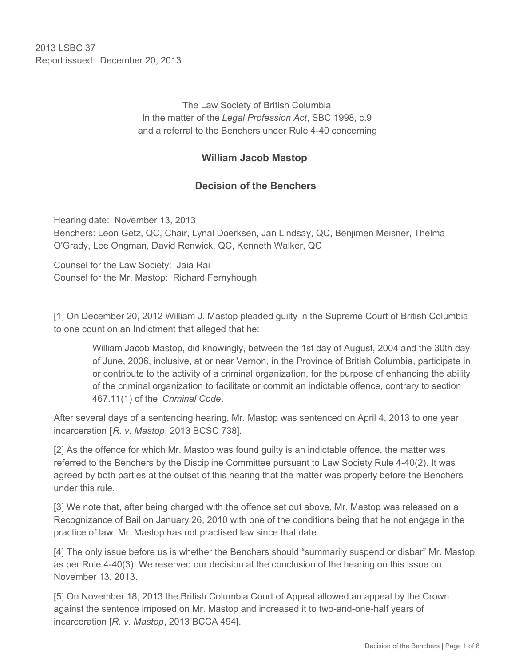2013 LSBC 37 Report issued: December 20, 2013

> The Law Society of British Columbia In the matter of the *Legal Profession Act*, SBC 1998, c.9 and a referral to the Benchers under Rule 4-40 concerning

### **William Jacob Mastop**

### **Decision of the Benchers**

Hearing date: November 13, 2013 Benchers: Leon Getz, QC, Chair, Lynal Doerksen, Jan Lindsay, QC, Benjimen Meisner, Thelma O'Grady, Lee Ongman, David Renwick, QC, Kenneth Walker, QC

Counsel for the Law Society: Jaia Rai Counsel for the Mr. Mastop: Richard Fernyhough

[1] On December 20, 2012 William J. Mastop pleaded guilty in the Supreme Court of British Columbia to one count on an Indictment that alleged that he:

William Jacob Mastop, did knowingly, between the 1st day of August, 2004 and the 30th day of June, 2006, inclusive, at or near Vernon, in the Province of British Columbia, participate in or contribute to the activity of a criminal organization, for the purpose of enhancing the ability of the criminal organization to facilitate or commit an indictable offence, contrary to section 467.11(1) of the *Criminal Code*.

After several days of a sentencing hearing, Mr. Mastop was sentenced on April 4, 2013 to one year incarceration [*R. v. Mastop*, 2013 BCSC 738].

[2] As the offence for which Mr. Mastop was found guilty is an indictable offence, the matter was referred to the Benchers by the Discipline Committee pursuant to Law Society Rule 4-40(2). It was agreed by both parties at the outset of this hearing that the matter was properly before the Benchers under this rule.

[3] We note that, after being charged with the offence set out above, Mr. Mastop was released on a Recognizance of Bail on January 26, 2010 with one of the conditions being that he not engage in the practice of law. Mr. Mastop has not practised law since that date.

[4] The only issue before us is whether the Benchers should "summarily suspend or disbar" Mr. Mastop as per Rule 4-40(3). We reserved our decision at the conclusion of the hearing on this issue on November 13, 2013.

[5] On November 18, 2013 the British Columbia Court of Appeal allowed an appeal by the Crown against the sentence imposed on Mr. Mastop and increased it to two-and-one-half years of incarceration [*R. v. Mastop*, 2013 BCCA 494].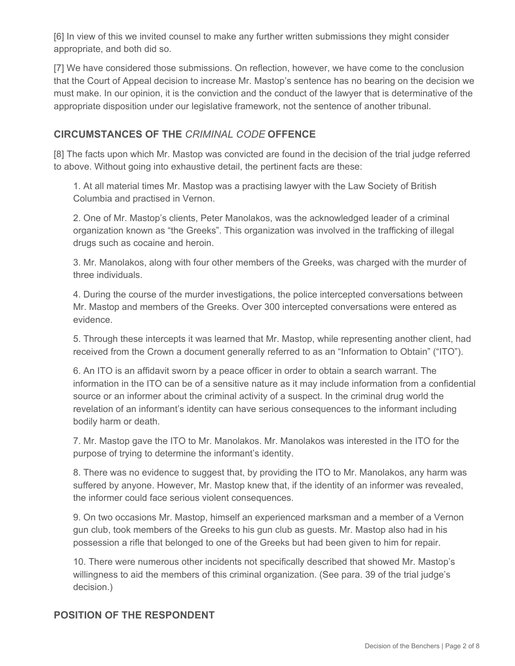[6] In view of this we invited counsel to make any further written submissions they might consider appropriate, and both did so.

[7] We have considered those submissions. On reflection, however, we have come to the conclusion that the Court of Appeal decision to increase Mr. Mastop's sentence has no bearing on the decision we must make. In our opinion, it is the conviction and the conduct of the lawyer that is determinative of the appropriate disposition under our legislative framework, not the sentence of another tribunal.

## **CIRCUMSTANCES OF THE** *CRIMINAL CODE* **OFFENCE**

[8] The facts upon which Mr. Mastop was convicted are found in the decision of the trial judge referred to above. Without going into exhaustive detail, the pertinent facts are these:

1. At all material times Mr. Mastop was a practising lawyer with the Law Society of British Columbia and practised in Vernon.

2. One of Mr. Mastop's clients, Peter Manolakos, was the acknowledged leader of a criminal organization known as "the Greeks". This organization was involved in the trafficking of illegal drugs such as cocaine and heroin.

3. Mr. Manolakos, along with four other members of the Greeks, was charged with the murder of three individuals.

4. During the course of the murder investigations, the police intercepted conversations between Mr. Mastop and members of the Greeks. Over 300 intercepted conversations were entered as evidence.

5. Through these intercepts it was learned that Mr. Mastop, while representing another client, had received from the Crown a document generally referred to as an "Information to Obtain" ("ITO").

6. An ITO is an affidavit sworn by a peace officer in order to obtain a search warrant. The information in the ITO can be of a sensitive nature as it may include information from a confidential source or an informer about the criminal activity of a suspect. In the criminal drug world the revelation of an informant's identity can have serious consequences to the informant including bodily harm or death.

7. Mr. Mastop gave the ITO to Mr. Manolakos. Mr. Manolakos was interested in the ITO for the purpose of trying to determine the informant's identity.

8. There was no evidence to suggest that, by providing the ITO to Mr. Manolakos, any harm was suffered by anyone. However, Mr. Mastop knew that, if the identity of an informer was revealed, the informer could face serious violent consequences.

9. On two occasions Mr. Mastop, himself an experienced marksman and a member of a Vernon gun club, took members of the Greeks to his gun club as guests. Mr. Mastop also had in his possession a rifle that belonged to one of the Greeks but had been given to him for repair.

10. There were numerous other incidents not specifically described that showed Mr. Mastop's willingness to aid the members of this criminal organization. (See para. 39 of the trial judge's decision.)

# **POSITION OF THE RESPONDENT**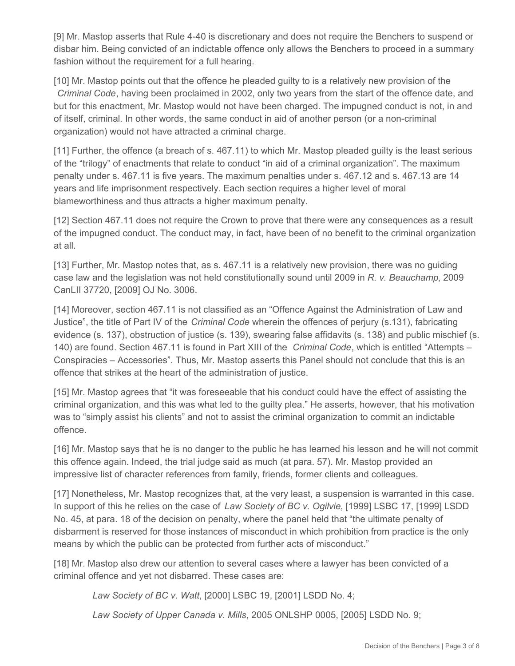[9] Mr. Mastop asserts that Rule 4-40 is discretionary and does not require the Benchers to suspend or disbar him. Being convicted of an indictable offence only allows the Benchers to proceed in a summary fashion without the requirement for a full hearing.

[10] Mr. Mastop points out that the offence he pleaded guilty to is a relatively new provision of the *Criminal Code*, having been proclaimed in 2002, only two years from the start of the offence date, and but for this enactment, Mr. Mastop would not have been charged. The impugned conduct is not, in and of itself, criminal. In other words, the same conduct in aid of another person (or a non-criminal organization) would not have attracted a criminal charge.

[11] Further, the offence (a breach of s. 467.11) to which Mr. Mastop pleaded guilty is the least serious of the "trilogy" of enactments that relate to conduct "in aid of a criminal organization". The maximum penalty under s. 467.11 is five years. The maximum penalties under s. 467.12 and s. 467.13 are 14 years and life imprisonment respectively. Each section requires a higher level of moral blameworthiness and thus attracts a higher maximum penalty.

[12] Section 467.11 does not require the Crown to prove that there were any consequences as a result of the impugned conduct. The conduct may, in fact, have been of no benefit to the criminal organization at all.

[13] Further, Mr. Mastop notes that, as s. 467.11 is a relatively new provision, there was no guiding case law and the legislation was not held constitutionally sound until 2009 in *R. v. Beauchamp*, 2009 CanLII 37720, [2009] OJ No. 3006.

[14] Moreover, section 467.11 is not classified as an "Offence Against the Administration of Law and Justice", the title of Part IV of the *Criminal Code* wherein the offences of perjury (s.131), fabricating evidence (s. 137), obstruction of justice (s. 139), swearing false affidavits (s. 138) and public mischief (s. 140) are found. Section 467.11 is found in Part XIII of the *Criminal Code*, which is entitled "Attempts – Conspiracies – Accessories". Thus, Mr. Mastop asserts this Panel should not conclude that this is an offence that strikes at the heart of the administration of justice.

[15] Mr. Mastop agrees that "it was foreseeable that his conduct could have the effect of assisting the criminal organization, and this was what led to the guilty plea." He asserts, however, that his motivation was to "simply assist his clients" and not to assist the criminal organization to commit an indictable offence.

[16] Mr. Mastop says that he is no danger to the public he has learned his lesson and he will not commit this offence again. Indeed, the trial judge said as much (at para. 57). Mr. Mastop provided an impressive list of character references from family, friends, former clients and colleagues.

[17] Nonetheless, Mr. Mastop recognizes that, at the very least, a suspension is warranted in this case. In support of this he relies on the case of *Law Society of BC v. Ogilvie*, [1999] LSBC 17, [1999] LSDD No. 45, at para. 18 of the decision on penalty, where the panel held that "the ultimate penalty of disbarment is reserved for those instances of misconduct in which prohibition from practice is the only means by which the public can be protected from further acts of misconduct."

[18] Mr. Mastop also drew our attention to several cases where a lawyer has been convicted of a criminal offence and yet not disbarred. These cases are:

*Law Society of BC v. Watt*, [2000] LSBC 19, [2001] LSDD No. 4;

*Law Society of Upper Canada v. Mills*, 2005 ONLSHP 0005, [2005] LSDD No. 9;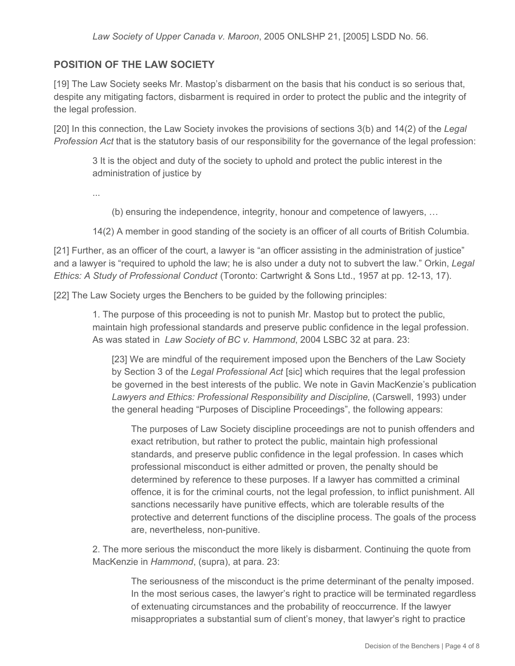# **POSITION OF THE LAW SOCIETY**

[19] The Law Society seeks Mr. Mastop's disbarment on the basis that his conduct is so serious that, despite any mitigating factors, disbarment is required in order to protect the public and the integrity of the legal profession.

[20] In this connection, the Law Society invokes the provisions of sections 3(b) and 14(2) of the *Legal Profession Act* that is the statutory basis of our responsibility for the governance of the legal profession:

3 It is the object and duty of the society to uphold and protect the public interest in the administration of justice by

...

(b) ensuring the independence, integrity, honour and competence of lawyers, …

14(2) A member in good standing of the society is an officer of all courts of British Columbia.

[21] Further, as an officer of the court, a lawyer is "an officer assisting in the administration of justice" and a lawyer is "required to uphold the law; he is also under a duty not to subvert the law." Orkin, *Legal Ethics: A Study of Professional Conduct* (Toronto: Cartwright & Sons Ltd., 1957 at pp. 12-13, 17).

[22] The Law Society urges the Benchers to be guided by the following principles:

1. The purpose of this proceeding is not to punish Mr. Mastop but to protect the public, maintain high professional standards and preserve public confidence in the legal profession. As was stated in *Law Society of BC v. Hammond*, 2004 LSBC 32 at para. 23:

[23] We are mindful of the requirement imposed upon the Benchers of the Law Society by Section 3 of the *Legal Professional Act* [sic] which requires that the legal profession be governed in the best interests of the public. We note in Gavin MacKenzie's publication *Lawyers and Ethics: Professional Responsibility and Discipline*, (Carswell, 1993) under the general heading "Purposes of Discipline Proceedings", the following appears:

The purposes of Law Society discipline proceedings are not to punish offenders and exact retribution, but rather to protect the public, maintain high professional standards, and preserve public confidence in the legal profession. In cases which professional misconduct is either admitted or proven, the penalty should be determined by reference to these purposes. If a lawyer has committed a criminal offence, it is for the criminal courts, not the legal profession, to inflict punishment. All sanctions necessarily have punitive effects, which are tolerable results of the protective and deterrent functions of the discipline process. The goals of the process are, nevertheless, non-punitive.

2. The more serious the misconduct the more likely is disbarment. Continuing the quote from MacKenzie in *Hammond*, (supra), at para. 23:

> The seriousness of the misconduct is the prime determinant of the penalty imposed. In the most serious cases, the lawyer's right to practice will be terminated regardless of extenuating circumstances and the probability of reoccurrence. If the lawyer misappropriates a substantial sum of client's money, that lawyer's right to practice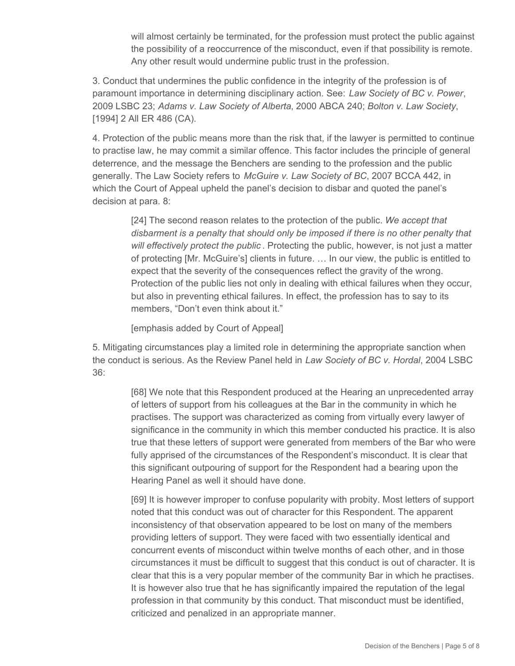will almost certainly be terminated, for the profession must protect the public against the possibility of a reoccurrence of the misconduct, even if that possibility is remote. Any other result would undermine public trust in the profession.

3. Conduct that undermines the public confidence in the integrity of the profession is of paramount importance in determining disciplinary action. See: *Law Society of BC v. Power*, 2009 LSBC 23; *Adams v. Law Society of Alberta*, 2000 ABCA 240; *Bolton v. Law Society*, [1994] 2 All ER 486 (CA).

4. Protection of the public means more than the risk that, if the lawyer is permitted to continue to practise law, he may commit a similar offence. This factor includes the principle of general deterrence, and the message the Benchers are sending to the profession and the public generally. The Law Society refers to *McGuire v. Law Society of BC*, 2007 BCCA 442, in which the Court of Appeal upheld the panel's decision to disbar and quoted the panel's decision at para. 8:

[24] The second reason relates to the protection of the public. *We accept that disbarment is a penalty that should only be imposed if there is no other penalty that will effectively protect the public* . Protecting the public, however, is not just a matter of protecting [Mr. McGuire's] clients in future. … In our view, the public is entitled to expect that the severity of the consequences reflect the gravity of the wrong. Protection of the public lies not only in dealing with ethical failures when they occur, but also in preventing ethical failures. In effect, the profession has to say to its members, "Don't even think about it."

[emphasis added by Court of Appeal]

5. Mitigating circumstances play a limited role in determining the appropriate sanction when the conduct is serious. As the Review Panel held in *Law Society of BC v. Hordal*, 2004 LSBC 36:

[68] We note that this Respondent produced at the Hearing an unprecedented array of letters of support from his colleagues at the Bar in the community in which he practises. The support was characterized as coming from virtually every lawyer of significance in the community in which this member conducted his practice. It is also true that these letters of support were generated from members of the Bar who were fully apprised of the circumstances of the Respondent's misconduct. It is clear that this significant outpouring of support for the Respondent had a bearing upon the Hearing Panel as well it should have done.

[69] It is however improper to confuse popularity with probity. Most letters of support noted that this conduct was out of character for this Respondent. The apparent inconsistency of that observation appeared to be lost on many of the members providing letters of support. They were faced with two essentially identical and concurrent events of misconduct within twelve months of each other, and in those circumstances it must be difficult to suggest that this conduct is out of character. It is clear that this is a very popular member of the community Bar in which he practises. It is however also true that he has significantly impaired the reputation of the legal profession in that community by this conduct. That misconduct must be identified, criticized and penalized in an appropriate manner.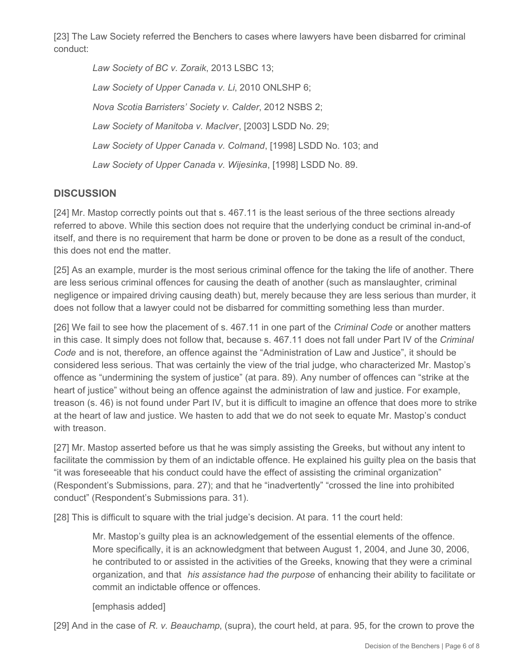[23] The Law Society referred the Benchers to cases where lawyers have been disbarred for criminal conduct:

*Law Society of BC v. Zoraik*, 2013 LSBC 13; *Law Society of Upper Canada v. Li*, 2010 ONLSHP 6; *Nova Scotia Barristers' Society v. Calder*, 2012 NSBS 2; *Law Society of Manitoba v. MacIver*, [2003] LSDD No. 29; *Law Society of Upper Canada v. Colmand*, [1998] LSDD No. 103; and *Law Society of Upper Canada v. Wijesinka*, [1998] LSDD No. 89.

# **DISCUSSION**

[24] Mr. Mastop correctly points out that s. 467.11 is the least serious of the three sections already referred to above. While this section does not require that the underlying conduct be criminal in-and-of itself, and there is no requirement that harm be done or proven to be done as a result of the conduct, this does not end the matter.

[25] As an example, murder is the most serious criminal offence for the taking the life of another. There are less serious criminal offences for causing the death of another (such as manslaughter, criminal negligence or impaired driving causing death) but, merely because they are less serious than murder, it does not follow that a lawyer could not be disbarred for committing something less than murder.

[26] We fail to see how the placement of s. 467.11 in one part of the *Criminal Code* or another matters in this case. It simply does not follow that, because s. 467.11 does not fall under Part IV of the *Criminal Code* and is not, therefore, an offence against the "Administration of Law and Justice", it should be considered less serious. That was certainly the view of the trial judge, who characterized Mr. Mastop's offence as "undermining the system of justice" (at para. 89). Any number of offences can "strike at the heart of justice" without being an offence against the administration of law and justice. For example, treason (s. 46) is not found under Part IV, but it is difficult to imagine an offence that does more to strike at the heart of law and justice. We hasten to add that we do not seek to equate Mr. Mastop's conduct with treason.

[27] Mr. Mastop asserted before us that he was simply assisting the Greeks, but without any intent to facilitate the commission by them of an indictable offence. He explained his guilty plea on the basis that "it was foreseeable that his conduct could have the effect of assisting the criminal organization" (Respondent's Submissions, para. 27); and that he "inadvertently" "crossed the line into prohibited conduct" (Respondent's Submissions para. 31).

[28] This is difficult to square with the trial judge's decision. At para. 11 the court held:

Mr. Mastop's guilty plea is an acknowledgement of the essential elements of the offence. More specifically, it is an acknowledgment that between August 1, 2004, and June 30, 2006, he contributed to or assisted in the activities of the Greeks, knowing that they were a criminal organization, and that *his assistance had the purpose* of enhancing their ability to facilitate or commit an indictable offence or offences.

#### [emphasis added]

[29] And in the case of *R. v. Beauchamp*, (supra), the court held, at para. 95, for the crown to prove the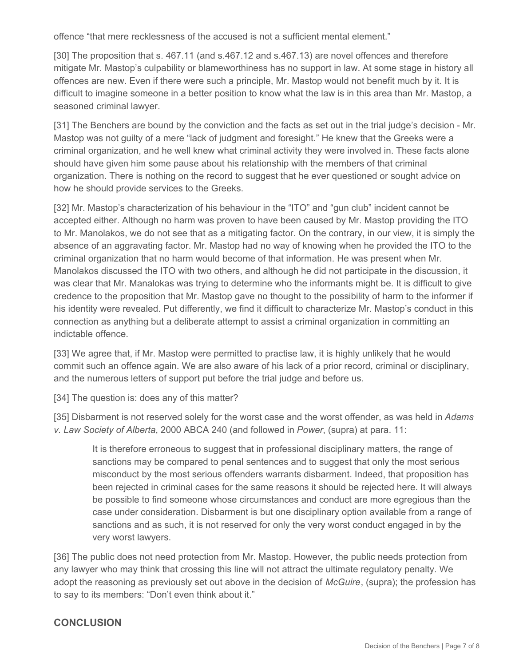offence "that mere recklessness of the accused is not a sufficient mental element."

[30] The proposition that s. 467.11 (and s.467.12 and s.467.13) are novel offences and therefore mitigate Mr. Mastop's culpability or blameworthiness has no support in law. At some stage in history all offences are new. Even if there were such a principle, Mr. Mastop would not benefit much by it. It is difficult to imagine someone in a better position to know what the law is in this area than Mr. Mastop, a seasoned criminal lawyer.

[31] The Benchers are bound by the conviction and the facts as set out in the trial judge's decision - Mr. Mastop was not guilty of a mere "lack of judgment and foresight." He knew that the Greeks were a criminal organization, and he well knew what criminal activity they were involved in. These facts alone should have given him some pause about his relationship with the members of that criminal organization. There is nothing on the record to suggest that he ever questioned or sought advice on how he should provide services to the Greeks.

[32] Mr. Mastop's characterization of his behaviour in the "ITO" and "gun club" incident cannot be accepted either. Although no harm was proven to have been caused by Mr. Mastop providing the ITO to Mr. Manolakos, we do not see that as a mitigating factor. On the contrary, in our view, it is simply the absence of an aggravating factor. Mr. Mastop had no way of knowing when he provided the ITO to the criminal organization that no harm would become of that information. He was present when Mr. Manolakos discussed the ITO with two others, and although he did not participate in the discussion, it was clear that Mr. Manalokas was trying to determine who the informants might be. It is difficult to give credence to the proposition that Mr. Mastop gave no thought to the possibility of harm to the informer if his identity were revealed. Put differently, we find it difficult to characterize Mr. Mastop's conduct in this connection as anything but a deliberate attempt to assist a criminal organization in committing an indictable offence.

[33] We agree that, if Mr. Mastop were permitted to practise law, it is highly unlikely that he would commit such an offence again. We are also aware of his lack of a prior record, criminal or disciplinary, and the numerous letters of support put before the trial judge and before us.

[34] The question is: does any of this matter?

[35] Disbarment is not reserved solely for the worst case and the worst offender, as was held in *Adams v. Law Society of Alberta*, 2000 ABCA 240 (and followed in *Power*, (supra) at para. 11:

It is therefore erroneous to suggest that in professional disciplinary matters, the range of sanctions may be compared to penal sentences and to suggest that only the most serious misconduct by the most serious offenders warrants disbarment. Indeed, that proposition has been rejected in criminal cases for the same reasons it should be rejected here. It will always be possible to find someone whose circumstances and conduct are more egregious than the case under consideration. Disbarment is but one disciplinary option available from a range of sanctions and as such, it is not reserved for only the very worst conduct engaged in by the very worst lawyers.

[36] The public does not need protection from Mr. Mastop. However, the public needs protection from any lawyer who may think that crossing this line will not attract the ultimate regulatory penalty. We adopt the reasoning as previously set out above in the decision of *McGuire*, (supra); the profession has to say to its members: "Don't even think about it."

#### **CONCLUSION**